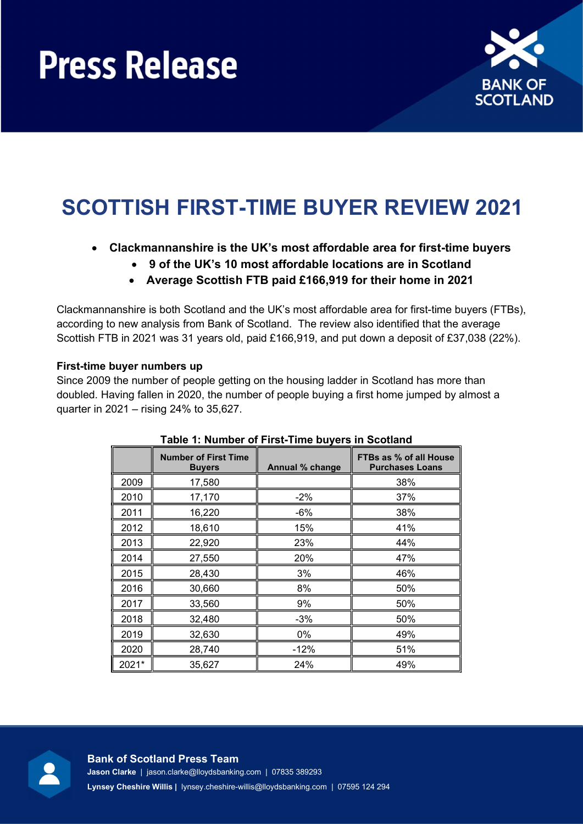

# SCOTTISH FIRST-TIME BUYER REVIEW 2021

## Clackmannanshire is the UK's most affordable area for first-time buyers

- 9 of the UK's 10 most affordable locations are in Scotland
- Average Scottish FTB paid £166,919 for their home in 2021

Clackmannanshire is both Scotland and the UK's most affordable area for first-time buyers (FTBs), according to new analysis from Bank of Scotland. The review also identified that the average Scottish FTB in 2021 was 31 years old, paid £166,919, and put down a deposit of £37,038 (22%).

### First-time buyer numbers up

Since 2009 the number of people getting on the housing ladder in Scotland has more than doubled. Having fallen in 2020, the number of people buying a first home jumped by almost a quarter in 2021 – rising 24% to 35,627.

|       | <b>Number of First Time</b><br><b>Buyers</b> | Annual % change | FTBs as % of all House<br><b>Purchases Loans</b> |
|-------|----------------------------------------------|-----------------|--------------------------------------------------|
| 2009  | 17,580                                       |                 | 38%                                              |
| 2010  | 17,170                                       | $-2%$           | 37%                                              |
| 2011  | 16,220                                       | -6%             | 38%                                              |
| 2012  | 18,610                                       | 15%             | 41%                                              |
| 2013  | 22,920                                       | 23%             | 44%                                              |
| 2014  | 27,550                                       | 20%             | 47%                                              |
| 2015  | 28,430                                       | 3%              | 46%                                              |
| 2016  | 30,660                                       | 8%              | 50%                                              |
| 2017  | 33,560                                       | 9%              | 50%                                              |
| 2018  | 32,480                                       | $-3%$           | 50%                                              |
| 2019  | 32,630                                       | 0%              | 49%                                              |
| 2020  | 28,740                                       | $-12%$          | 51%                                              |
| 2021* | 35,627                                       | 24%             | 49%                                              |

### Table 1: Number of First-Time buyers in Scotland

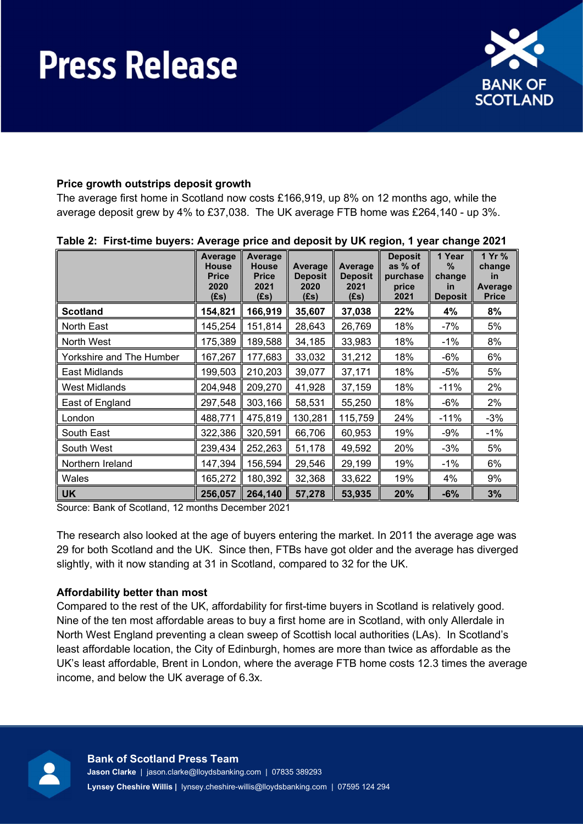

### Price growth outstrips deposit growth

The average first home in Scotland now costs £166,919, up 8% on 12 months ago, while the average deposit grew by 4% to £37,038. The UK average FTB home was £264,140 - up 3%.

|                          | Average<br><b>House</b><br><b>Price</b><br>2020<br>(Es) | Average<br><b>House</b><br><b>Price</b><br>2021<br>(£s) | Average<br><b>Deposit</b><br>2020<br>(Es) | Average<br><b>Deposit</b><br>2021<br>(Es) | <b>Deposit</b><br>as % of<br>purchase<br>price<br>2021 | 1 Year<br>%<br>change<br><u>in</u><br><b>Deposit</b> | 1 Yr %<br>change<br><i>in</i><br>Average<br><b>Price</b> |
|--------------------------|---------------------------------------------------------|---------------------------------------------------------|-------------------------------------------|-------------------------------------------|--------------------------------------------------------|------------------------------------------------------|----------------------------------------------------------|
| <b>Scotland</b>          | 154,821                                                 | 166,919                                                 | 35,607                                    | 37,038                                    | 22%                                                    | 4%                                                   | 8%                                                       |
| North East               | 145,254                                                 | 151,814                                                 | 28,643                                    | 26,769                                    | 18%                                                    | $-7%$                                                | 5%                                                       |
| North West               | 175,389                                                 | 189,588                                                 | 34,185                                    | 33,983                                    | 18%                                                    | $-1\%$                                               | 8%                                                       |
| Yorkshire and The Humber | 167,267                                                 | 177,683                                                 | 33,032                                    | 31,212                                    | 18%                                                    | -6%                                                  | 6%                                                       |
| East Midlands            | 199,503                                                 | 210,203                                                 | 39,077                                    | 37,171                                    | 18%                                                    | -5%                                                  | 5%                                                       |
| <b>West Midlands</b>     | 204,948                                                 | 209,270                                                 | 41,928                                    | 37,159                                    | 18%                                                    | $-11%$                                               | 2%                                                       |
| East of England          | 297,548                                                 | 303,166                                                 | 58,531                                    | 55,250                                    | 18%                                                    | -6%                                                  | 2%                                                       |
| London                   | 488,771                                                 | 475,819                                                 | 130,281                                   | 115,759                                   | 24%                                                    | $-11%$                                               | -3%                                                      |
| South East               | 322,386                                                 | 320,591                                                 | 66,706                                    | 60,953                                    | 19%                                                    | -9%                                                  | $-1\%$                                                   |
| South West               | 239,434                                                 | 252,263                                                 | 51,178                                    | 49,592                                    | 20%                                                    | $-3%$                                                | 5%                                                       |
| Northern Ireland         | 147,394                                                 | 156,594                                                 | 29,546                                    | 29,199                                    | 19%                                                    | $-1%$                                                | 6%                                                       |
| Wales                    | 165,272                                                 | 180,392                                                 | 32,368                                    | 33,622                                    | 19%                                                    | 4%                                                   | 9%                                                       |
| <b>UK</b>                | 256,057                                                 | 264,140                                                 | 57,278                                    | 53,935                                    | 20%                                                    | $-6%$                                                | 3%                                                       |

#### Table 2: First-time buyers: Average price and deposit by UK region, 1 year change 2021

Source: Bank of Scotland, 12 months December 2021

The research also looked at the age of buyers entering the market. In 2011 the average age was 29 for both Scotland and the UK. Since then, FTBs have got older and the average has diverged slightly, with it now standing at 31 in Scotland, compared to 32 for the UK.

### Affordability better than most

Compared to the rest of the UK, affordability for first-time buyers in Scotland is relatively good. Nine of the ten most affordable areas to buy a first home are in Scotland, with only Allerdale in North West England preventing a clean sweep of Scottish local authorities (LAs). In Scotland's least affordable location, the City of Edinburgh, homes are more than twice as affordable as the UK's least affordable, Brent in London, where the average FTB home costs 12.3 times the average income, and below the UK average of 6.3x.

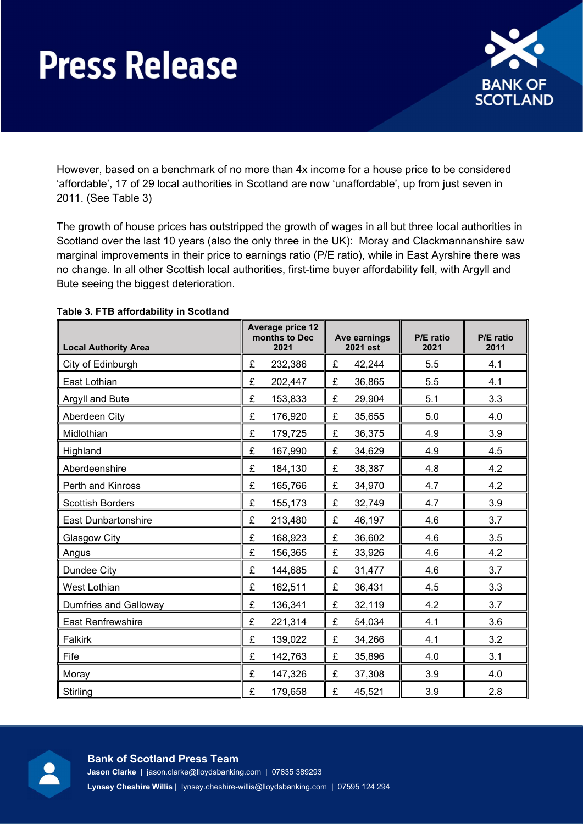

However, based on a benchmark of no more than 4x income for a house price to be considered 'affordable', 17 of 29 local authorities in Scotland are now 'unaffordable', up from just seven in 2011. (See Table 3)

The growth of house prices has outstripped the growth of wages in all but three local authorities in Scotland over the last 10 years (also the only three in the UK): Moray and Clackmannanshire saw marginal improvements in their price to earnings ratio (P/E ratio), while in East Ayrshire there was no change. In all other Scottish local authorities, first-time buyer affordability fell, with Argyll and Bute seeing the biggest deterioration.

| <b>Local Authority Area</b> | <b>Average price 12</b><br>months to Dec<br>2021 | Ave earnings<br>2021 est | P/E ratio<br>2021 | P/E ratio<br>2011 |
|-----------------------------|--------------------------------------------------|--------------------------|-------------------|-------------------|
| City of Edinburgh           | £<br>232,386                                     | £<br>42,244              | 5.5               | 4.1               |
| East Lothian                | £<br>202,447                                     | £<br>36,865              | 5.5               | 4.1               |
| Argyll and Bute             | £<br>153,833                                     | £<br>29,904              | 5.1               | 3.3               |
| Aberdeen City               | £<br>176,920                                     | £<br>35,655              | 5.0               | 4.0               |
| Midlothian                  | £<br>179,725                                     | £<br>36,375              | 4.9               | 3.9               |
| Highland                    | £<br>167,990                                     | £<br>34,629              | 4.9               | 4.5               |
| Aberdeenshire               | £<br>184,130                                     | £<br>38,387              | 4.8               | 4.2               |
| Perth and Kinross           | £<br>165,766                                     | £<br>34,970              | 4.7               | 4.2               |
| <b>Scottish Borders</b>     | £<br>155,173                                     | £<br>32,749              | 4.7               | 3.9               |
| <b>East Dunbartonshire</b>  | £<br>213,480                                     | £<br>46,197              | 4.6               | 3.7               |
| Glasgow City                | £<br>168,923                                     | £<br>36,602              | 4.6               | 3.5               |
| Angus                       | £<br>156,365                                     | £<br>33,926              | 4.6               | 4.2               |
| Dundee City                 | £<br>144,685                                     | £<br>31,477              | 4.6               | 3.7               |
| <b>West Lothian</b>         | £<br>162,511                                     | £<br>36,431              | 4.5               | 3.3               |
| Dumfries and Galloway       | £<br>136,341                                     | £<br>32,119              | 4.2               | 3.7               |
| <b>East Renfrewshire</b>    | £<br>221,314                                     | £<br>54,034              | 4.1               | 3.6               |
| Falkirk                     | £<br>139,022                                     | £<br>34,266              | 4.1               | 3.2               |
| Fife                        | £<br>142,763                                     | £<br>35,896              | 4.0               | 3.1               |
| Moray                       | £<br>147,326                                     | £<br>37,308              | 3.9               | 4.0               |
| Stirling                    | £<br>179,658                                     | £<br>45,521              | 3.9               | 2.8               |

#### Table 3. FTB affordability in Scotland



### Bank of Scotland Press Team Jason Clarke | jason.clarke@lloydsbanking.com | 07835 389293 Lynsey Cheshire Willis | lynsey.cheshire-willis@lloydsbanking.com | 07595 124 294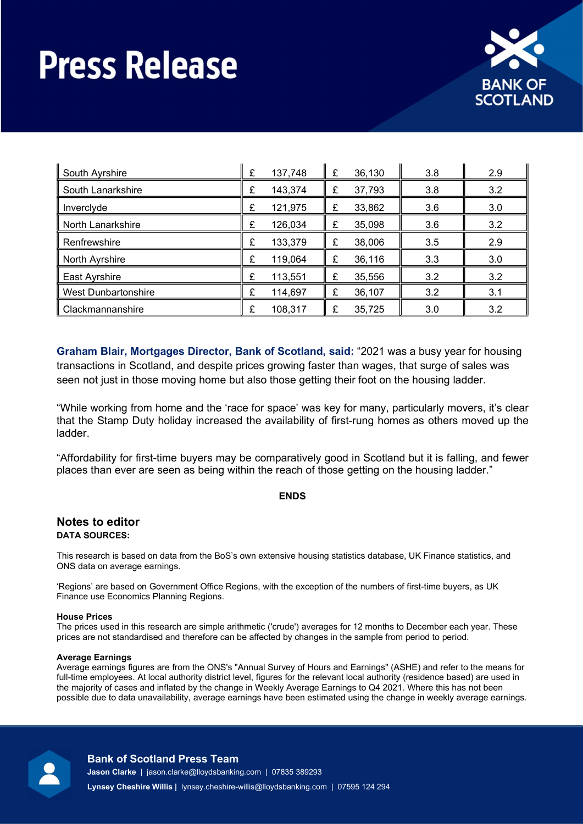

| South Ayrshire             |  | 137,748 | £ | 36,130 | 3.8 | 2.9 |
|----------------------------|--|---------|---|--------|-----|-----|
| South Lanarkshire          |  | 143,374 | £ | 37,793 | 3.8 | 3.2 |
| Inverclyde                 |  | 121,975 | £ | 33,862 | 3.6 | 3.0 |
| North Lanarkshire          |  | 126,034 | £ | 35,098 | 3.6 | 3.2 |
| Renfrewshire               |  | 133,379 | £ | 38,006 | 3.5 | 2.9 |
| North Ayrshire             |  | 119,064 | £ | 36,116 | 3.3 | 3.0 |
| East Ayrshire              |  | 113,551 | £ | 35,556 | 3.2 | 3.2 |
| <b>West Dunbartonshire</b> |  | 114,697 | £ | 36,107 | 3.2 | 3.1 |
| Clackmannanshire           |  | 108,317 | £ | 35,725 | 3.0 | 3.2 |

Graham Blair, Mortgages Director, Bank of Scotland, said: "2021 was a busy year for housing transactions in Scotland, and despite prices growing faster than wages, that surge of sales was seen not just in those moving home but also those getting their foot on the housing ladder.

"While working from home and the 'race for space' was key for many, particularly movers, it's clear that the Stamp Duty holiday increased the availability of first-rung homes as others moved up the ladder.

"Affordability for first-time buyers may be comparatively good in Scotland but it is falling, and fewer places than ever are seen as being within the reach of those getting on the housing ladder."

#### ENDS

#### Notes to editor DATA SOURCES:

This research is based on data from the BoS's own extensive housing statistics database, UK Finance statistics, and ONS data on average earnings.

'Regions' are based on Government Office Regions, with the exception of the numbers of first-time buyers, as UK Finance use Economics Planning Regions.

#### House Prices

The prices used in this research are simple arithmetic ('crude') averages for 12 months to December each year. These prices are not standardised and therefore can be affected by changes in the sample from period to period.

#### Average Earnings

Average earnings figures are from the ONS's "Annual Survey of Hours and Earnings" (ASHE) and refer to the means for full-time employees. At local authority district level, figures for the relevant local authority (residence based) are used in the majority of cases and inflated by the change in Weekly Average Earnings to Q4 2021. Where this has not been possible due to data unavailability, average earnings have been estimated using the change in weekly average earnings.



#### Bank of Scotland Press Team

Jason Clarke | jason.clarke@lloydsbanking.com | 07835 389293

Lynsey Cheshire Willis | lynsey.cheshire-willis@lloydsbanking.com | 07595 124 294